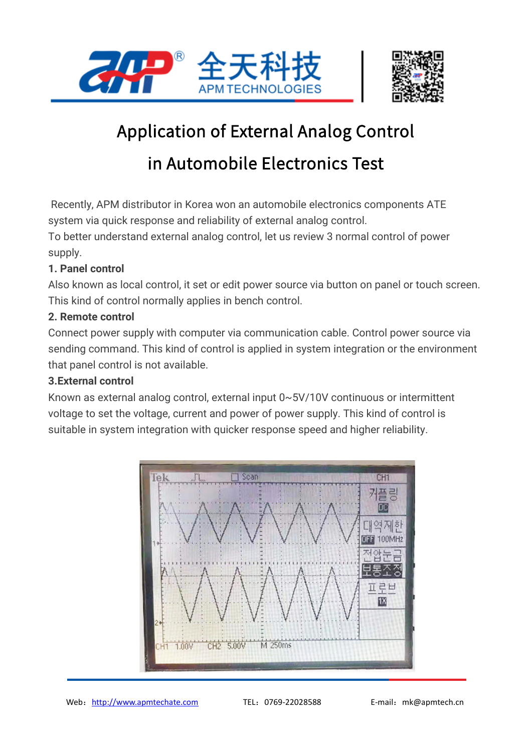



# Application of External Analog Control

## in Automobile Electronics Test

Recently, APM distributor in Korea won an automobile electronics components ATE system via quick response and reliability of external analog control.

To better understand external analog control, let us review 3 normal control of power supply.

### **1. Panel control**

Also known as local control, it set or edit power source via button on panel or touch screen. This kind of control normally applies in bench control.

### **2. Remote control**

Connect power supply with computer via communication cable. Control power source via sending command. This kind of control is applied in system integration or the environment that panel control is not available.

#### **3.External control**

Known as external analog control, external input 0~5V/10V continuous or intermittent voltage to set the voltage, current and power of power supply. This kind of control is suitable in system integration with quicker response speed and higher reliability.

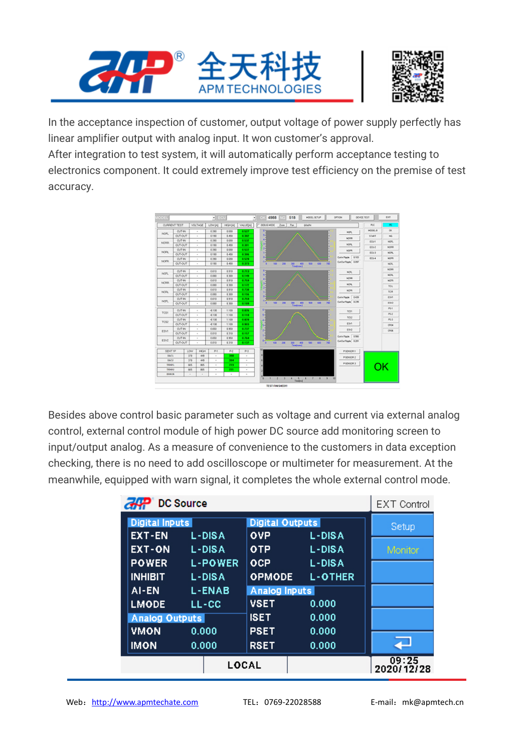



In the acceptance inspection of customer, output voltage of power supply perfectly has linear amplifier output with analog input. It won customer's approval.

After integration to test system, it will automatically perform acceptance testing to electronics component. It could extremely improve test efficiency on the premise of test accuracy.



Besides above control basic parameter such as voltage and current via external analog control, external control module of high power DC source add monitoring screen to input/output analog. As a measure of convenience to the customers in data exception checking, there is no need to add oscilloscope or multimeter for measurement. At the meanwhile, equipped with warn signal, it completes the whole external control mode.

| DC Source |                        |                |                        |                | <b>EXT Control</b>  |
|-----------|------------------------|----------------|------------------------|----------------|---------------------|
|           | <b>Digital Inputs</b>  |                | <b>Digital Outputs</b> |                | Setup               |
|           | <b>EXT-EN</b>          | L-DISA         | <b>OVP</b>             | L-DISA         |                     |
|           | <b>EXT-ON</b>          | L-DISA         | <b>OTP</b>             | L-DISA         | Monitor             |
|           | <b>POWER</b>           | <b>L-POWER</b> | OCP                    | L-DISA         |                     |
|           | <b>INHIBIT</b>         | <b>L-DISA</b>  | <b>OPMODE</b>          | <b>L-OTHER</b> |                     |
|           | AI-EN<br><b>L-ENAB</b> |                | <b>Analog Inputs</b>   |                |                     |
|           | <b>LMODE</b>           | LL-CC          | <b>VSET</b>            | 0.000          |                     |
|           | <b>Analog Outputs</b>  |                | <b>ISET</b>            | 0.000          |                     |
|           | <b>VMON</b>            | 0.000          | <b>PSET</b>            | 0.000          |                     |
|           | <b>IMON</b>            | 0.000          | <b>RSET</b>            | 0.000          |                     |
|           | LOCAL                  |                |                        |                | 09:25<br>2020/12/28 |